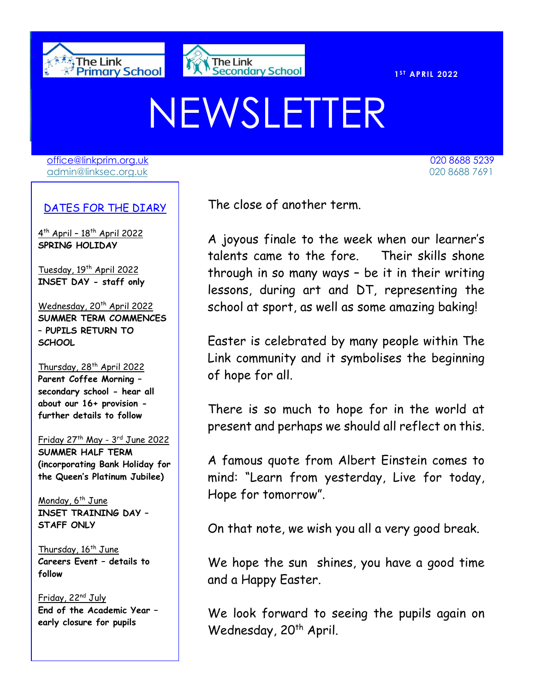



020 8688 7691

**S T APRIL 2022** 

# NEWSLETTER

[office@linkprim.org.uk](mailto:office@linkprim.org.uk) 020 8688 5239 admin@linksec.org.uk 020 8688 7691

#### DATES FOR THE DIARY

4 th April – 18th April 2022 **SPRING HOLIDAY**

Tuesday, 19<sup>th</sup> April 2022 **INSET DAY - staff only**

Wednesday, 20<sup>th</sup> April 2022 **SUMMER TERM COMMENCES – PUPILS RETURN TO SCHOOL**

Thursday, 28<sup>th</sup> April 2022 **Parent Coffee Morning – secondary school - hear all about our 16+ provision further details to follow**

Friday 27th May - 3 rd June 2022

**SUMMER HALF TERM (incorporating Bank Holiday for the Queen's Platinum Jubilee)**

Monday, 6<sup>th</sup> June **INSET TRAINING DAY – STAFF ONLY**

Thursday, 16<sup>th</sup> June **Careers Event – details to follow**

Friday, 22nd July **End of the Academic Year – early closure for pupils**

The close of another term.

 talents came to the fore. Their skills shone A joyous finale to the week when our learner's through in so many ways – be it in their writing lessons, during art and DT, representing the school at sport, as well as some amazing baking!

Easter is celebrated by many people within The Link community and it symbolises the beginning of hope for all.

There is so much to hope for in the world at present and perhaps we should all reflect on this.

A famous quote from Albert Einstein comes to mind: "Learn from yesterday, Live for today, Hope for tomorrow".

On that note, we wish you all a very good break.

We hope the sun shines, you have a good time and a Happy Easter.

We look forward to seeing the pupils again on Wednesday, 20<sup>th</sup> April.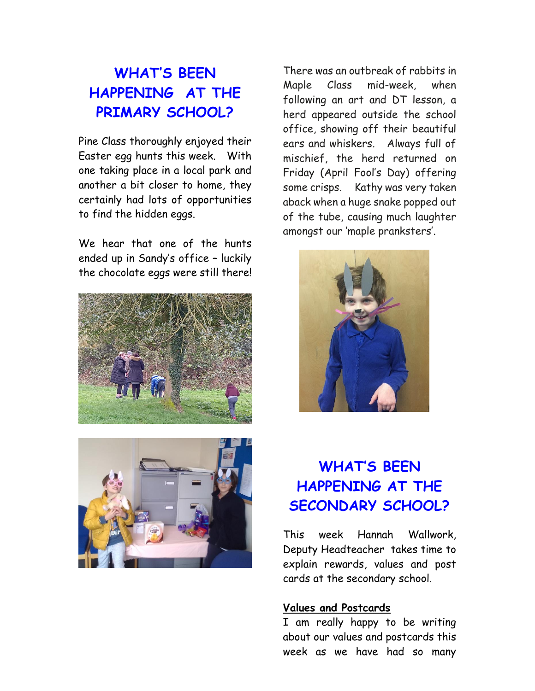## **WHAT'S BEEN HAPPENING AT THE PRIMARY SCHOOL?**

Pine Class thoroughly enjoyed their Easter egg hunts this week. With one taking place in a local park and another a bit closer to home, they certainly had lots of opportunities to find the hidden eggs.

We hear that one of the hunts ended up in Sandy's office – luckily the chocolate eggs were still there!





There was an outbreak of rabbits in Maple Class mid-week, when following an art and DT lesson, a herd appeared outside the school office, showing off their beautiful ears and whiskers. Always full of mischief, the herd returned on Friday (April Fool's Day) offering some crisps. Kathy was very taken aback when a huge snake popped out of the tube, causing much laughter amongst our 'maple pranksters'.



## **WHAT'S BEEN HAPPENING AT THE SECONDARY SCHOOL?**

This week Hannah Wallwork, Deputy Headteacher takes time to explain rewards, values and post cards at the secondary school.

#### **Values and Postcards**

I am really happy to be writing about our values and postcards this week as we have had so many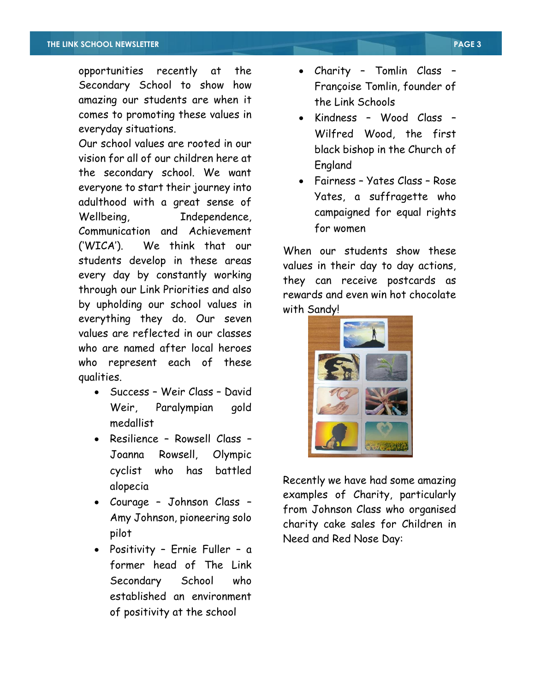opportunities recently at the Secondary School to show how amazing our students are when it comes to promoting these values in everyday situations.

Our school values are rooted in our vision for all of our children here at the secondary school. We want everyone to start their journey into adulthood with a great sense of Wellbeing, Independence, Communication and Achievement ('WICA'). We think that our students develop in these areas every day by constantly working through our Link Priorities and also by upholding our school values in everything they do. Our seven values are reflected in our classes who are named after local heroes who represent each of these qualities.

- Success Weir Class David Weir, Paralympian gold medallist
- Resilience Rowsell Class Joanna Rowsell, Olympic cyclist who has battled alopecia
- Courage Johnson Class Amy Johnson, pioneering solo pilot
- Positivity Ernie Fuller a former head of The Link Secondary School who established an environment of positivity at the school
- Charity Tomlin Class Françoise Tomlin, founder of the Link Schools
- Kindness Wood Class Wilfred Wood, the first black bishop in the Church of England
- Fairness Yates Class Rose Yates, a suffragette who campaigned for equal rights for women

When our students show these values in their day to day actions, they can receive postcards as rewards and even win hot chocolate with Sandy!



Recently we have had some amazing examples of Charity, particularly from Johnson Class who organised charity cake sales for Children in Need and Red Nose Day: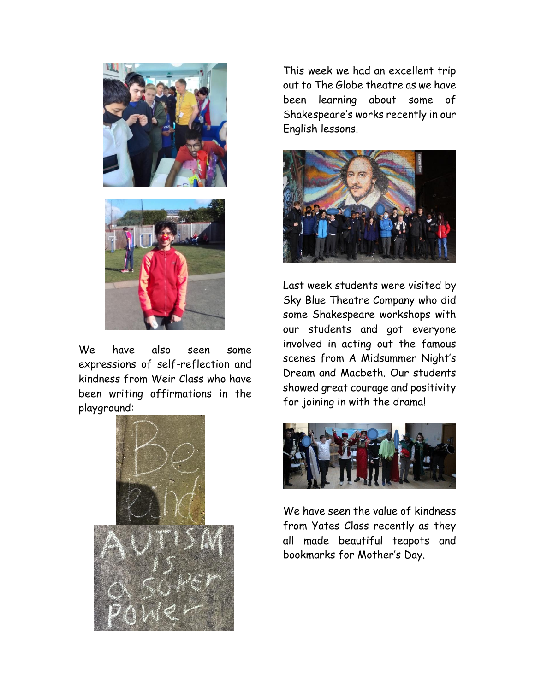



We have also seen some expressions of self-reflection and kindness from Weir Class who have been writing affirmations in the playground:



This week we had an excellent trip out to The Globe theatre as we have been learning about some of Shakespeare's works recently in our English lessons.



Last week students were visited by Sky Blue Theatre Company who did some Shakespeare workshops with our students and got everyone involved in acting out the famous scenes from A Midsummer Night's Dream and Macbeth. Our students showed great courage and positivity for joining in with the drama!



We have seen the value of kindness from Yates Class recently as they all made beautiful teapots and bookmarks for Mother's Day.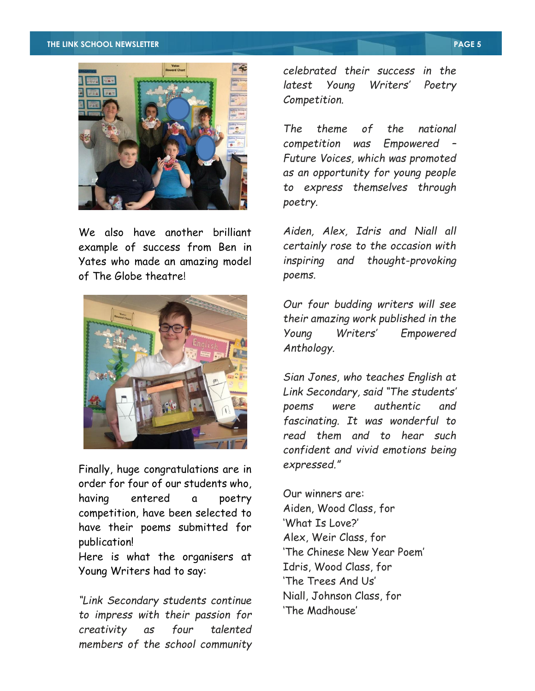#### **THE LINK SCHOOL NEWSLETTER PAGE 5**



We also have another brilliant example of success from Ben in Yates who made an amazing model of The Globe theatre!



Finally, huge congratulations are in order for four of our students who, having entered a poetry competition, have been selected to have their poems submitted for publication!

Here is what the organisers at Young Writers had to say:

*"Link Secondary students continue to impress with their passion for creativity as four talented members of the school community* 

*celebrated their success in the latest Young Writers' Poetry Competition.*

*The theme of the national competition was Empowered – Future Voices, which was promoted as an opportunity for young people to express themselves through poetry.*

*Aiden, Alex, Idris and Niall all certainly rose to the occasion with inspiring and thought-provoking poems.*

*Our four budding writers will see their amazing work published in the Young Writers' Empowered Anthology.*

*Sian Jones, who teaches English at Link Secondary, said "The students' poems were authentic and fascinating. It was wonderful to read them and to hear such confident and vivid emotions being expressed."*

Our winners are: Aiden, Wood Class, for 'What Is Love?' Alex, Weir Class, for 'The Chinese New Year Poem' Idris, Wood Class, for 'The Trees And Us' Niall, Johnson Class, for 'The Madhouse'